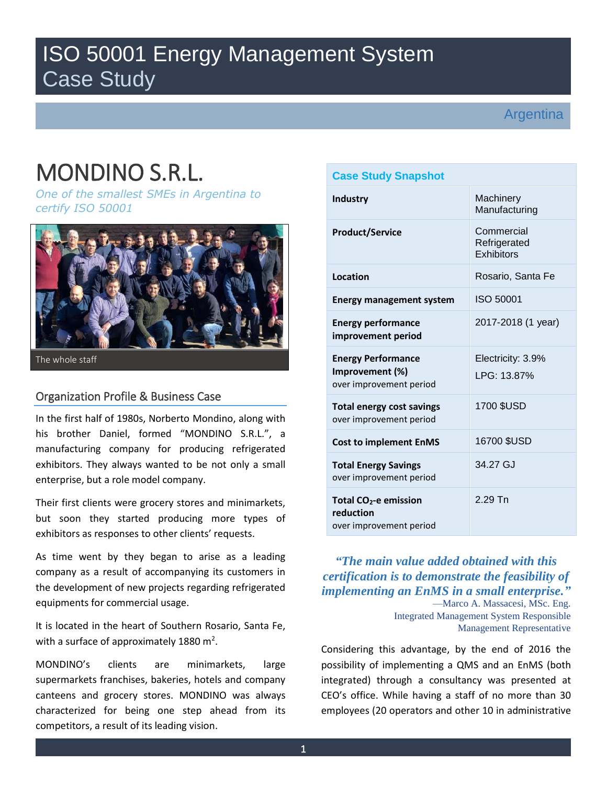# ISO 50001 Energy Management System Case Study

# Argentina

# MONDINO S.R.L.

*One of the smallest SMEs in Argentina to certify ISO 50001* 



#### The whole staff

## Organization Profile & Business Case

In the first half of 1980s, Norberto Mondino, along with his brother Daniel, formed "MONDINO S.R.L.", a manufacturing company for producing refrigerated exhibitors. They always wanted to be not only a small enterprise, but a role model company.

Their first clients were grocery stores and minimarkets, but soon they started producing more types of exhibitors as responses to other clients' requests.

As time went by they began to arise as a leading company as a result of accompanying its customers in the development of new projects regarding refrigerated equipments for commercial usage.

It is located in the heart of Southern Rosario, Santa Fe, with a surface of approximately 1880 m<sup>2</sup>.

MONDINO's clients are minimarkets, large supermarkets franchises, bakeries, hotels and company canteens and grocery stores. MONDINO was always characterized for being one step ahead from its competitors, a result of its leading vision.

| <b>Case Study Snapshot</b>                                              |                                          |  |
|-------------------------------------------------------------------------|------------------------------------------|--|
| <b>Industry</b>                                                         | Machinery<br>Manufacturing               |  |
| <b>Product/Service</b>                                                  | Commercial<br>Refrigerated<br>Exhibitors |  |
| Location                                                                | Rosario, Santa Fe                        |  |
| <b>Energy management system</b>                                         | ISO 50001                                |  |
| <b>Energy performance</b><br>improvement period                         | 2017-2018 (1 year)                       |  |
| <b>Energy Performance</b><br>Improvement (%)<br>over improvement period | Electricity: 3.9%<br>LPG: 13.87%         |  |
| <b>Total energy cost savings</b><br>over improvement period             | 1700 \$USD                               |  |
| <b>Cost to implement EnMS</b>                                           | 16700 \$USD                              |  |
| <b>Total Energy Savings</b><br>over improvement period                  | 34.27 GJ                                 |  |
| Total $CO2$ -e emission<br>reduction<br>over improvement period         | $2.29$ Tn                                |  |

# *"The main value added obtained with this certification is to demonstrate the feasibility of implementing an EnMS in a small enterprise."* —Marco A. Massacesi, MSc. Eng.

Integrated Management System Responsible Management Representative

Considering this advantage, by the end of 2016 the possibility of implementing a QMS and an EnMS (both integrated) through a consultancy was presented at CEO's office. While having a staff of no more than 30 employees (20 operators and other 10 in administrative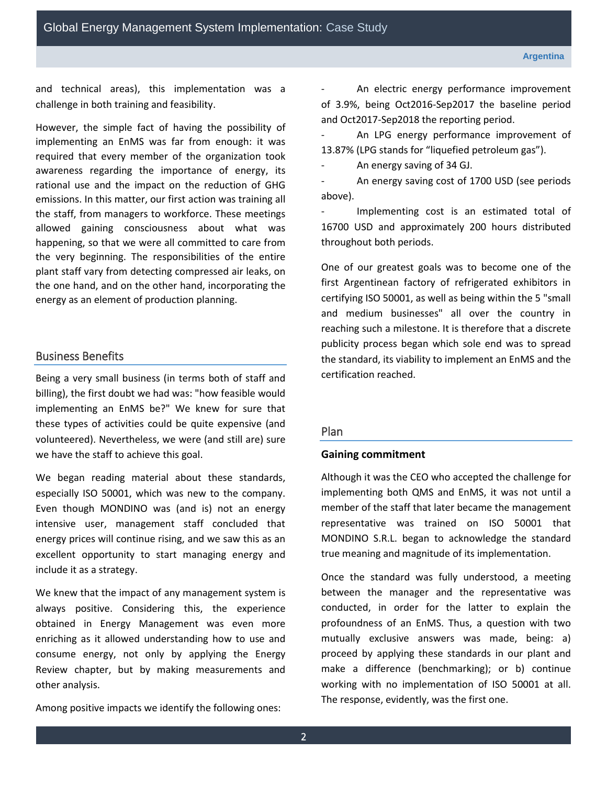Global Energy Management System Implementation: Case Study

and technical areas), this implementation was a challenge in both training and feasibility.

However, the simple fact of having the possibility of implementing an EnMS was far from enough: it was required that every member of the organization took awareness regarding the importance of energy, its rational use and the impact on the reduction of GHG emissions. In this matter, our first action was training all the staff, from managers to workforce. These meetings allowed gaining consciousness about what was happening, so that we were all committed to care from the very beginning. The responsibilities of the entire plant staff vary from detecting compressed air leaks, on the one hand, and on the other hand, incorporating the energy as an element of production planning.

#### Business Benefits

Being a very small business (in terms both of staff and billing), the first doubt we had was: "how feasible would implementing an EnMS be?" We knew for sure that these types of activities could be quite expensive (and volunteered). Nevertheless, we were (and still are) sure we have the staff to achieve this goal.

We began reading material about these standards, especially ISO 50001, which was new to the company. Even though MONDINO was (and is) not an energy intensive user, management staff concluded that energy prices will continue rising, and we saw this as an excellent opportunity to start managing energy and include it as a strategy.

We knew that the impact of any management system is always positive. Considering this, the experience obtained in Energy Management was even more enriching as it allowed understanding how to use and consume energy, not only by applying the Energy Review chapter, but by making measurements and other analysis.

Among positive impacts we identify the following ones:

An electric energy performance improvement of 3.9%, being Oct2016-Sep2017 the baseline period and Oct2017-Sep2018 the reporting period.

An LPG energy performance improvement of 13.87% (LPG stands for "liquefied petroleum gas").

An energy saving of 34 GJ.

An energy saving cost of 1700 USD (see periods above).

Implementing cost is an estimated total of 16700 USD and approximately 200 hours distributed throughout both periods.

One of our greatest goals was to become one of the first Argentinean factory of refrigerated exhibitors in certifying ISO 50001, as well as being within the 5 "small and medium businesses" all over the country in reaching such a milestone. It is therefore that a discrete publicity process began which sole end was to spread the standard, its viability to implement an EnMS and the certification reached.

#### Plan

#### **Gaining commitment**

Although it was the CEO who accepted the challenge for implementing both QMS and EnMS, it was not until a member of the staff that later became the management representative was trained on ISO 50001 that MONDINO S.R.L. began to acknowledge the standard true meaning and magnitude of its implementation.

Once the standard was fully understood, a meeting between the manager and the representative was conducted, in order for the latter to explain the profoundness of an EnMS. Thus, a question with two mutually exclusive answers was made, being: a) proceed by applying these standards in our plant and make a difference (benchmarking); or b) continue working with no implementation of ISO 50001 at all. The response, evidently, was the first one.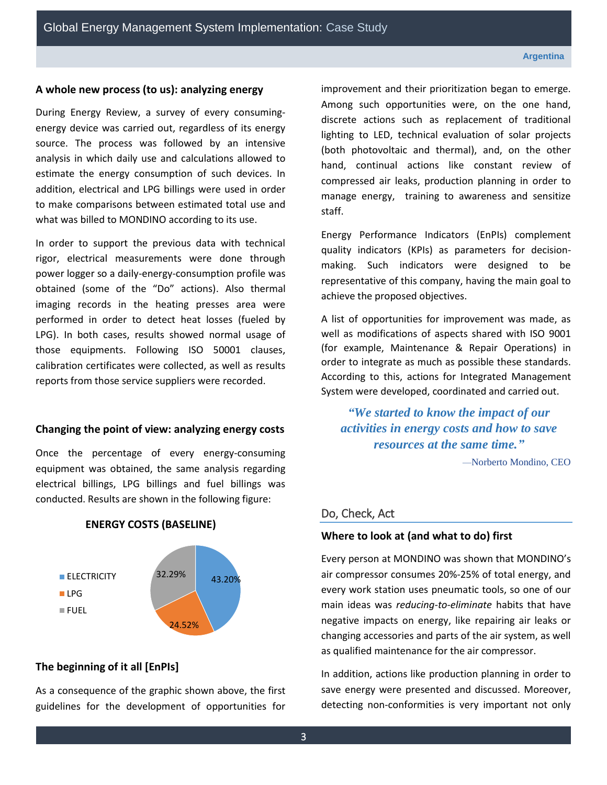#### **A whole new process (to us): analyzing energy**

During Energy Review, a survey of every consumingenergy device was carried out, regardless of its energy source. The process was followed by an intensive analysis in which daily use and calculations allowed to estimate the energy consumption of such devices. In addition, electrical and LPG billings were used in order to make comparisons between estimated total use and what was billed to MONDINO according to its use.

In order to support the previous data with technical rigor, electrical measurements were done through power logger so a daily-energy-consumption profile was obtained (some of the "Do" actions). Also thermal imaging records in the heating presses area were performed in order to detect heat losses (fueled by LPG). In both cases, results showed normal usage of those equipments. Following ISO 50001 clauses, calibration certificates were collected, as well as results reports from those service suppliers were recorded.

### **Changing the point of view: analyzing energy costs**

Once the percentage of every energy-consuming equipment was obtained, the same analysis regarding electrical billings, LPG billings and fuel billings was conducted. Results are shown in the following figure:



#### **ENERGY COSTS (BASELINE)**

#### **The beginning of it all [EnPIs]**

As a consequence of the graphic shown above, the first guidelines for the development of opportunities for improvement and their prioritization began to emerge. Among such opportunities were, on the one hand, discrete actions such as replacement of traditional lighting to LED, technical evaluation of solar projects (both photovoltaic and thermal), and, on the other hand, continual actions like constant review of compressed air leaks, production planning in order to manage energy, training to awareness and sensitize staff.

Energy Performance Indicators (EnPIs) complement quality indicators (KPIs) as parameters for decisionmaking. Such indicators were designed to be representative of this company, having the main goal to achieve the proposed objectives.

A list of opportunities for improvement was made, as well as modifications of aspects shared with ISO 9001 (for example, Maintenance & Repair Operations) in order to integrate as much as possible these standards. According to this, actions for Integrated Management System were developed, coordinated and carried out.

*"We started to know the impact of our activities in energy costs and how to save resources at the same time."*

—Norberto Mondino, CEO

#### Do, Check, Act

#### **Where to look at (and what to do) first**

Every person at MONDINO was shown that MONDINO's air compressor consumes 20%-25% of total energy, and every work station uses pneumatic tools, so one of our main ideas was *reducing-to-eliminate* habits that have negative impacts on energy, like repairing air leaks or changing accessories and parts of the air system, as well as qualified maintenance for the air compressor.

In addition, actions like production planning in order to save energy were presented and discussed. Moreover, detecting non-conformities is very important not only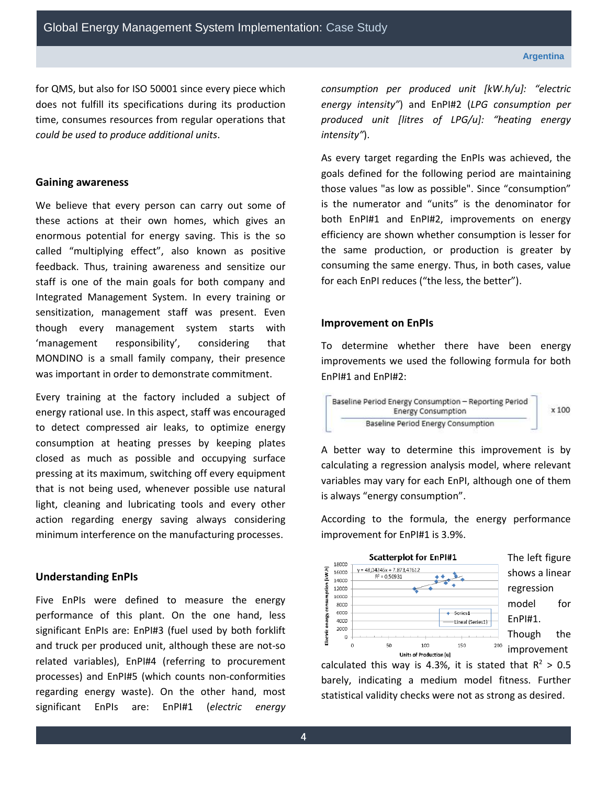for QMS, but also for ISO 50001 since every piece which does not fulfill its specifications during its production time, consumes resources from regular operations that *could be used to produce additional units*.

#### **Gaining awareness**

We believe that every person can carry out some of these actions at their own homes, which gives an enormous potential for energy saving. This is the so called "multiplying effect", also known as positive feedback. Thus, training awareness and sensitize our staff is one of the main goals for both company and Integrated Management System. In every training or sensitization, management staff was present. Even though every management system starts with 'management responsibility', considering that MONDINO is a small family company, their presence was important in order to demonstrate commitment.

Every training at the factory included a subject of energy rational use. In this aspect, staff was encouraged to detect compressed air leaks, to optimize energy consumption at heating presses by keeping plates closed as much as possible and occupying surface pressing at its maximum, switching off every equipment that is not being used, whenever possible use natural light, cleaning and lubricating tools and every other action regarding energy saving always considering minimum interference on the manufacturing processes.

#### **Understanding EnPIs**

Five EnPIs were defined to measure the energy performance of this plant. On the one hand, less significant EnPIs are: EnPI#3 (fuel used by both forklift and truck per produced unit, although these are not-so related variables), EnPI#4 (referring to procurement processes) and EnPI#5 (which counts non-conformities regarding energy waste). On the other hand, most significant EnPIs are: EnPI#1 (*electric energy*  *consumption per produced unit [kW.h/u]: "electric energy intensity"*) and EnPI#2 (*LPG consumption per produced unit [litres of LPG/u]: "heating energy intensity"*).

As every target regarding the EnPIs was achieved, the goals defined for the following period are maintaining those values "as low as possible". Since "consumption" is the numerator and "units" is the denominator for both EnPI#1 and EnPI#2, improvements on energy efficiency are shown whether consumption is lesser for the same production, or production is greater by consuming the same energy. Thus, in both cases, value for each EnPI reduces ("the less, the better").

#### **Improvement on EnPIs**

To determine whether there have been energy improvements we used the following formula for both EnPI#1 and EnPI#2:

A better way to determine this improvement is by calculating a regression analysis model, where relevant variables may vary for each EnPI, although one of them is always "energy consumption".

According to the formula, the energy performance improvement for EnPI#1 is 3.9%.



calculated this way is 4.3%, it is stated that  $R^2 > 0.5$ barely, indicating a medium model fitness. Further statistical validity checks were not as strong as desired.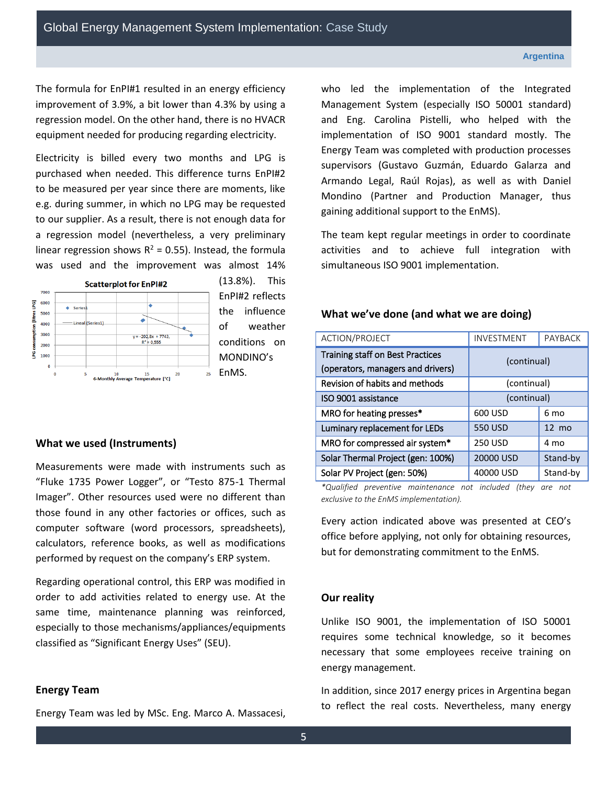The formula for EnPI#1 resulted in an energy efficiency improvement of 3.9%, a bit lower than 4.3% by using a regression model. On the other hand, there is no HVACR equipment needed for producing regarding electricity.

Electricity is billed every two months and LPG is purchased when needed. This difference turns EnPI#2 to be measured per year since there are moments, like e.g. during summer, in which no LPG may be requested to our supplier. As a result, there is not enough data for a regression model (nevertheless, a very preliminary linear regression shows  $R^2 = 0.55$ ). Instead, the formula was used and the improvement was almost 14%



(13.8%). This EnPI#2 reflects the influence of weather conditions on MONDINO's

### **What we used (Instruments)**

Measurements were made with instruments such as "Fluke 1735 Power Logger", or "Testo 875-1 Thermal Imager". Other resources used were no different than those found in any other factories or offices, such as computer software (word processors, spreadsheets), calculators, reference books, as well as modifications performed by request on the company's ERP system.

Regarding operational control, this ERP was modified in order to add activities related to energy use. At the same time, maintenance planning was reinforced, especially to those mechanisms/appliances/equipments classified as "Significant Energy Uses" (SEU).

#### **Energy Team**

Energy Team was led by MSc. Eng. Marco A. Massacesi,

who led the implementation of the Integrated Management System (especially ISO 50001 standard) and Eng. Carolina Pistelli, who helped with the implementation of ISO 9001 standard mostly. The Energy Team was completed with production processes supervisors (Gustavo Guzmán, Eduardo Galarza and Armando Legal, Raúl Rojas), as well as with Daniel Mondino (Partner and Production Manager, thus gaining additional support to the EnMS).

The team kept regular meetings in order to coordinate activities and to achieve full integration with simultaneous ISO 9001 implementation.

#### **What we've done (and what we are doing)**

| ACTION/PROJECT                                                               | INVESTMENT     | PAYBACK         |
|------------------------------------------------------------------------------|----------------|-----------------|
| <b>Training staff on Best Practices</b><br>(operators, managers and drivers) | (continual)    |                 |
| Revision of habits and methods                                               | (continual)    |                 |
| ISO 9001 assistance                                                          | (continual)    |                 |
| MRO for heating presses*                                                     | 600 USD        | 6 mo            |
| Luminary replacement for LEDs                                                | 550 USD        | $12 \text{ mo}$ |
| MRO for compressed air system*                                               | <b>250 USD</b> | 4 mo            |
| Solar Thermal Project (gen: 100%)                                            | 20000 USD      | Stand-by        |
| Solar PV Project (gen: 50%)                                                  | 40000 USD      | Stand-by        |

*\*Qualified preventive maintenance not included (they are not exclusive to the EnMS implementation).* 

Every action indicated above was presented at CEO's office before applying, not only for obtaining resources, but for demonstrating commitment to the EnMS.

#### **Our reality**

Unlike ISO 9001, the implementation of ISO 50001 requires some technical knowledge, so it becomes necessary that some employees receive training on energy management.

In addition, since 2017 energy prices in Argentina began to reflect the real costs. Nevertheless, many energy